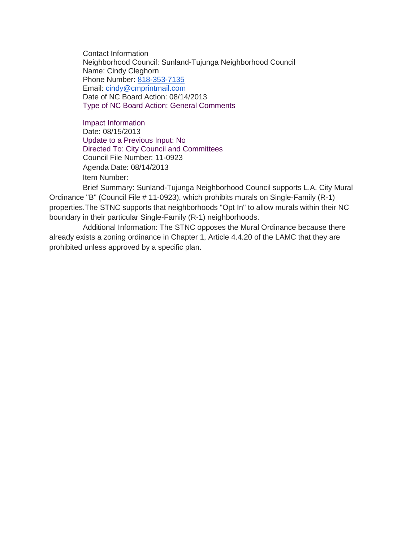Contact Information Neighborhood Council: Sunland-Tujunga Neighborhood Council Name: Cindy Cleghorn Phone Number: [818-353-7135](tel:818-353-7135) Email: [cindy@cmprintmail.com](mailto:cindy@cmprintmail.com) Date of NC Board Action: 08/14/2013 Type of NC Board Action: General Comments

Impact Information Date: 08/15/2013 Update to a Previous Input: No Directed To: City Council and Committees Council File Number: 11-0923 Agenda Date: 08/14/2013 Item Number:

Brief Summary: Sunland-Tujunga Neighborhood Council supports L.A. City Mural Ordinance "B" (Council File # 11-0923), which prohibits murals on Single-Family (R-1) properties.The STNC supports that neighborhoods "Opt In" to allow murals within their NC boundary in their particular Single-Family (R-1) neighborhoods.

Additional Information: The STNC opposes the Mural Ordinance because there already exists a zoning ordinance in Chapter 1, Article 4.4.20 of the LAMC that they are prohibited unless approved by a specific plan.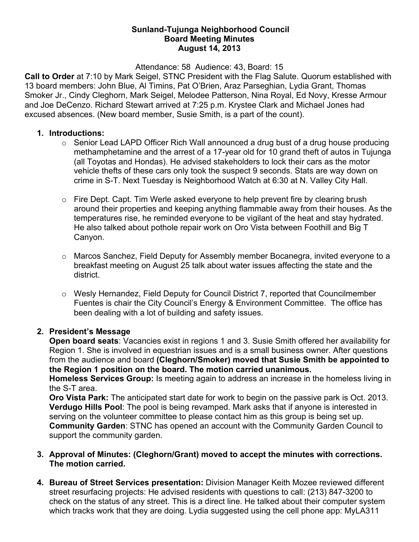### **Sunland-Tujunga Neighborhood Council Board Meeting Minutes August 14, 2013**

Attendance: 58 Audience: 43, Board: 15

**Call to Order** at 7:10 by Mark Seigel, STNC President with the Flag Salute. Quorum established with 13 board members: John Blue, Al Timins, Pat O'Brien, Araz Parseghian, Lydia Grant, Thomas Smoker Jr., Cindy Cleghorn, Mark Seigel, Melodee Patterson, Nina Royal, Ed Novy, Kresse Armour and Joe DeCenzo. Richard Stewart arrived at 7:25 p.m. Krystee Clark and Michael Jones had excused absences. (New board member, Susie Smith, is a part of the count).

### **1. Introductions:**

- $\circ$  Senior Lead LAPD Officer Rich Wall announced a drug bust of a drug house producing methamphetamine and the arrest of a 17-year old for 10 grand theft of autos in Tujunga (all Toyotas and Hondas). He advised stakeholders to lock their cars as the motor vehicle thefts of these cars only took the suspect 9 seconds. Stats are way down on crime in S-T. Next Tuesday is Neighborhood Watch at 6:30 at N. Valley City Hall.
- o Fire Dept. Capt. Tim Werle asked everyone to help prevent fire by clearing brush around their properties and keeping anything flammable away from their houses. As the temperatures rise, he reminded everyone to be vigilant of the heat and stay hydrated. He also talked about pothole repair work on Oro Vista between Foothill and Big T Canyon.
- o Marcos Sanchez, Field Deputy for Assembly member Bocanegra, invited everyone to a breakfast meeting on August 25 talk about water issues affecting the state and the district.
- o Wesly Hernandez, Field Deputy for Council District 7, reported that Councilmember Fuentes is chair the City Council's Energy & Environment Committee. The office has been dealing with a lot of building and safety issues.

# **2. President's Message**

**Open board seats**: Vacancies exist in regions 1 and 3. Susie Smith offered her availability for Region 1. She is involved in equestrian issues and is a small business owner. After questions from the audience and board **(Cleghorn/Smoker) moved that Susie Smith be appointed to the Region 1 position on the board. The motion carried unanimous.**

**Homeless Services Group:** Is meeting again to address an increase in the homeless living in the S-T area.

**Oro Vista Park:** The anticipated start date for work to begin on the passive park is Oct. 2013. **Verdugo Hills Pool**: The pool is being revamped. Mark asks that if anyone is interested in serving on the volunteer committee to please contact him as this group is being set up. **Community Garden**: STNC has opened an account with the Community Garden Council to support the community garden.

- **3. Approval of Minutes: (Cleghorn/Grant) moved to accept the minutes with corrections. The motion carried.**
- **4. Bureau of Street Services presentation:** Division Manager Keith Mozee reviewed different street resurfacing projects: He advised residents with questions to call: (213) 847-3200 to check on the status of any street. This is a direct line. He talked about their computer system which tracks work that they are doing. Lydia suggested using the cell phone app: MyLA311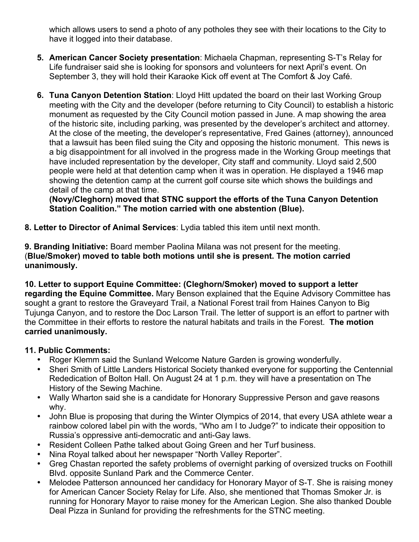which allows users to send a photo of any potholes they see with their locations to the City to have it logged into their database.

- **5. American Cancer Society presentation**: Michaela Chapman, representing S-T's Relay for Life fundraiser said she is looking for sponsors and volunteers for next April's event. On September 3, they will hold their Karaoke Kick off event at The Comfort & Joy Café.
- **6. Tuna Canyon Detention Station**: Lloyd Hitt updated the board on their last Working Group meeting with the City and the developer (before returning to City Council) to establish a historic monument as requested by the City Council motion passed in June. A map showing the area of the historic site, including parking, was presented by the developer's architect and attorney. At the close of the meeting, the developer's representative, Fred Gaines (attorney), announced that a lawsuit has been filed suing the City and opposing the historic monument. This news is a big disappointment for all involved in the progress made in the Working Group meetings that have included representation by the developer, City staff and community. Lloyd said 2,500 people were held at that detention camp when it was in operation. He displayed a 1946 map showing the detention camp at the current golf course site which shows the buildings and detail of the camp at that time.

**(Novy/Cleghorn) moved that STNC support the efforts of the Tuna Canyon Detention Station Coalition." The motion carried with one abstention (Blue).** 

**8. Letter to Director of Animal Services**: Lydia tabled this item until next month.

**9. Branding Initiative:** Board member Paolina Milana was not present for the meeting. (**Blue/Smoker) moved to table both motions until she is present. The motion carried unanimously.**

**10. Letter to support Equine Committee: (Cleghorn/Smoker) moved to support a letter regarding the Equine Committee.** Mary Benson explained that the Equine Advisory Committee has sought a grant to restore the Graveyard Trail, a National Forest trail from Haines Canyon to Big Tujunga Canyon, and to restore the Doc Larson Trail. The letter of support is an effort to partner with the Committee in their efforts to restore the natural habitats and trails in the Forest. **The motion carried unanimously.**

# **11. Public Comments:**

- Roger Klemm said the Sunland Welcome Nature Garden is growing wonderfully.
- Sheri Smith of Little Landers Historical Society thanked everyone for supporting the Centennial Rededication of Bolton Hall. On August 24 at 1 p.m. they will have a presentation on The History of the Sewing Machine.
- Wally Wharton said she is a candidate for Honorary Suppressive Person and gave reasons why.
- John Blue is proposing that during the Winter Olympics of 2014, that every USA athlete wear a rainbow colored label pin with the words, "Who am I to Judge?" to indicate their opposition to Russia's oppressive anti-democratic and anti-Gay laws.
- Resident Colleen Pathe talked about Going Green and her Turf business.
- Nina Royal talked about her newspaper "North Valley Reporter".
- Greg Chastan reported the safety problems of overnight parking of oversized trucks on Foothill Blvd. opposite Sunland Park and the Commerce Center.
- Melodee Patterson announced her candidacy for Honorary Mayor of S-T. She is raising money for American Cancer Society Relay for Life. Also, she mentioned that Thomas Smoker Jr. is running for Honorary Mayor to raise money for the American Legion. She also thanked Double Deal Pizza in Sunland for providing the refreshments for the STNC meeting.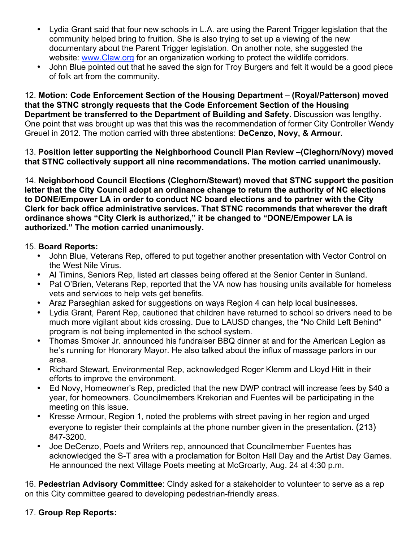- Lydia Grant said that four new schools in L.A. are using the Parent Trigger legislation that the community helped bring to fruition. She is also trying to set up a viewing of the new documentary about the Parent Trigger legislation. On another note, she suggested the website: www.Claw.org for an organization working to protect the wildlife corridors.
- John Blue pointed out that he saved the sign for Troy Burgers and felt it would be a good piece of folk art from the community.

12. **Motion: Code Enforcement Section of the Housing Department** – **(Royal/Patterson) moved that the STNC strongly requests that the Code Enforcement Section of the Housing Department be transferred to the Department of Building and Safety.** Discussion was lengthy. One point that was brought up was that this was the recommendation of former City Controller Wendy Greuel in 2012. The motion carried with three abstentions: **DeCenzo, Novy, & Armour.**

13. **Position letter supporting the Neighborhood Council Plan Review –(Cleghorn/Novy) moved that STNC collectively support all nine recommendations. The motion carried unanimously.**

14. **Neighborhood Council Elections (Cleghorn/Stewart) moved that STNC support the position letter that the City Council adopt an ordinance change to return the authority of NC elections to DONE/Empower LA in order to conduct NC board elections and to partner with the City Clerk for back office administrative services. That STNC recommends that wherever the draft ordinance shows "City Clerk is authorized," it be changed to "DONE/Empower LA is authorized." The motion carried unanimously.**

### 15. **Board Reports:**

- John Blue, Veterans Rep, offered to put together another presentation with Vector Control on the West Nile Virus.
- Al Timins, Seniors Rep, listed art classes being offered at the Senior Center in Sunland.
- Pat O'Brien, Veterans Rep, reported that the VA now has housing units available for homeless vets and services to help vets get benefits.
- Araz Parseghian asked for suggestions on ways Region 4 can help local businesses.
- Lydia Grant, Parent Rep, cautioned that children have returned to school so drivers need to be much more vigilant about kids crossing. Due to LAUSD changes, the "No Child Left Behind" program is not being implemented in the school system.
- Thomas Smoker Jr. announced his fundraiser BBQ dinner at and for the American Legion as he's running for Honorary Mayor. He also talked about the influx of massage parlors in our area.
- Richard Stewart, Environmental Rep, acknowledged Roger Klemm and Lloyd Hitt in their efforts to improve the environment.
- Ed Novy, Homeowner's Rep, predicted that the new DWP contract will increase fees by \$40 a year, for homeowners. Councilmembers Krekorian and Fuentes will be participating in the meeting on this issue.
- Kresse Armour, Region 1, noted the problems with street paving in her region and urged everyone to register their complaints at the phone number given in the presentation. (213) 847-3200.
- Joe DeCenzo, Poets and Writers rep, announced that Councilmember Fuentes has acknowledged the S-T area with a proclamation for Bolton Hall Day and the Artist Day Games. He announced the next Village Poets meeting at McGroarty, Aug. 24 at 4:30 p.m.

16. **Pedestrian Advisory Committee**: Cindy asked for a stakeholder to volunteer to serve as a rep on this City committee geared to developing pedestrian-friendly areas.

# 17. **Group Rep Reports:**